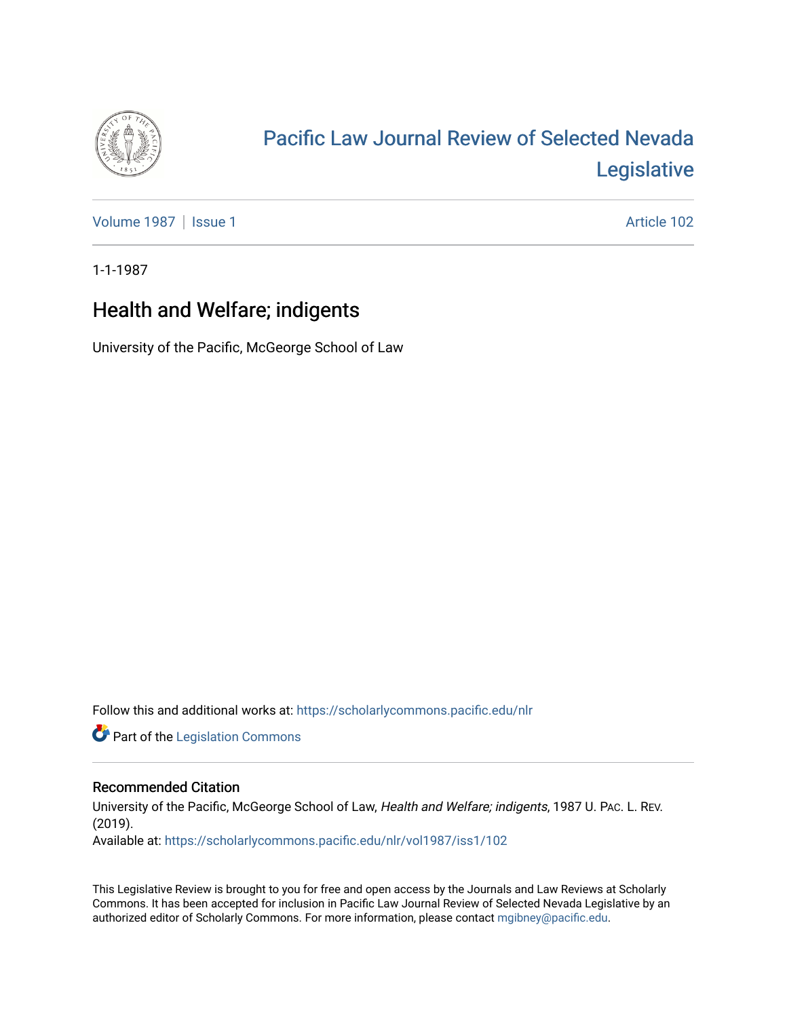

# [Pacific Law Journal Review of Selected Nevada](https://scholarlycommons.pacific.edu/nlr)  [Legislative](https://scholarlycommons.pacific.edu/nlr)

[Volume 1987](https://scholarlycommons.pacific.edu/nlr/vol1987) | [Issue 1](https://scholarlycommons.pacific.edu/nlr/vol1987/iss1) Article 102

1-1-1987

## Health and Welfare; indigents

University of the Pacific, McGeorge School of Law

Follow this and additional works at: [https://scholarlycommons.pacific.edu/nlr](https://scholarlycommons.pacific.edu/nlr?utm_source=scholarlycommons.pacific.edu%2Fnlr%2Fvol1987%2Fiss1%2F102&utm_medium=PDF&utm_campaign=PDFCoverPages) 

**Part of the [Legislation Commons](http://network.bepress.com/hgg/discipline/859?utm_source=scholarlycommons.pacific.edu%2Fnlr%2Fvol1987%2Fiss1%2F102&utm_medium=PDF&utm_campaign=PDFCoverPages)** 

### Recommended Citation

University of the Pacific, McGeorge School of Law, Health and Welfare; indigents, 1987 U. PAc. L. REV. (2019). Available at: [https://scholarlycommons.pacific.edu/nlr/vol1987/iss1/102](https://scholarlycommons.pacific.edu/nlr/vol1987/iss1/102?utm_source=scholarlycommons.pacific.edu%2Fnlr%2Fvol1987%2Fiss1%2F102&utm_medium=PDF&utm_campaign=PDFCoverPages) 

This Legislative Review is brought to you for free and open access by the Journals and Law Reviews at Scholarly Commons. It has been accepted for inclusion in Pacific Law Journal Review of Selected Nevada Legislative by an authorized editor of Scholarly Commons. For more information, please contact [mgibney@pacific.edu](mailto:mgibney@pacific.edu).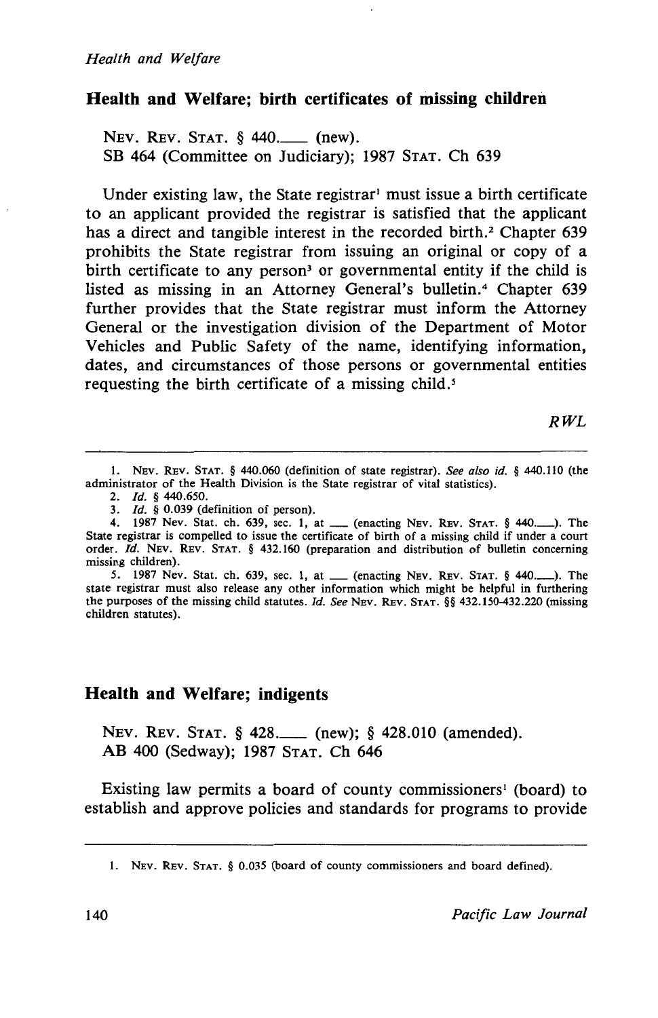#### **Health and Welfare; birth certificates of missing children**

NEV. REV. STAT. § 440.\_\_ (new). SB 464 (Committee on Judiciary); 1987 STAT. Ch 639

Under existing law, the State registrar<sup>1</sup> must issue a birth certificate to an applicant provided the registrar is satisfied that the applicant has a direct and tangible interest in the recorded birth.<sup>2</sup> Chapter 639 prohibits the State registrar from issuing an original or copy of a birth certificate to any person<sup>3</sup> or governmental entity if the child is listed as missing in an Attorney General's bulletin.<sup>4</sup> Chapter 639 further provides that the State registrar must inform the Attorney General or the investigation division of the Department of Motor Vehicles and Public Safety of the name, identifying information, dates, and circumstances of those persons or governmental entities requesting the birth certificate of a missing child.<sup>5</sup>

*RWL* 

1. NEv. REv. STAT. § 440.060 (definition of state registrar). *See also id.* § 440.110 (the administrator of the Health Division is the State registrar of vital statistics).

2. *Id.*  $\frac{6}{3}$  440.650.

- 
- 3. *Id.*  $\S$  0.039 (definition of person).<br>4. 1987 Nev. Stat. ch. 639, sec. 1, at \_\_\_ (enacting NEV. REV. STAT.  $\S$  440.........). The State registrar is compelled to issue the certificate of birth of a missing child if under a court order. *Id.* NEv. REv. STAT. § 432.160 (preparation and distribution of bulletin concerning missing children).

*5.* 1987 Nev. Stat. ch. 639, sec. 1, at \_ (enacting NEv. REv. STAT. § 440.\_). The state registrar must also release any other information which might be helpful in furthering the purposes of the missing child statutes. *ld. See* NEv. REv. STAT. §§ 432.150-432.220 (missing children statutes).

#### **Health and Welfare; indigents**

NEV. REV. STAT. § 428.\_\_\_ (new); § 428.010 (amended). AB 400 (Sedway); 1987 STAT. Ch 646

Existing law permits a board of county commissioners<sup>1</sup> (board) to establish and approve policies and standards for programs to provide

<sup>1.</sup> NEv. REv. STAT. § 0.035 (board of county commissioners and board defined).